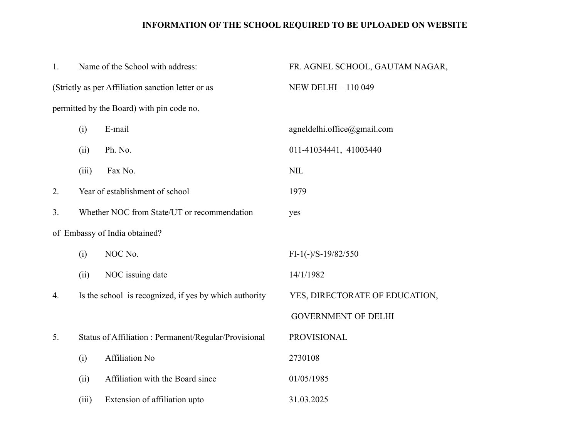## **INFORMATION OF THE SCHOOL REQUIRED TO BE UPLOADED ON WEBSITE**

| 1. |       | Name of the School with address:                       | FR. AGNEL SCHOOL, GAUTAM NAGAR, |  |  |
|----|-------|--------------------------------------------------------|---------------------------------|--|--|
|    |       | (Strictly as per Affiliation sanction letter or as     | NEW DELHI - 110 049             |  |  |
|    |       | permitted by the Board) with pin code no.              |                                 |  |  |
|    | (i)   | E-mail                                                 | agneldelhi.office@gmail.com     |  |  |
|    | (ii)  | Ph. No.                                                | 011-41034441, 41003440          |  |  |
|    | (iii) | Fax No.                                                | <b>NIL</b>                      |  |  |
| 2. |       | Year of establishment of school                        | 1979                            |  |  |
| 3. |       | Whether NOC from State/UT or recommendation            | yes                             |  |  |
|    |       | of Embassy of India obtained?                          |                                 |  |  |
|    | (i)   | NOC No.                                                | $FI-1(-)/S-19/82/550$           |  |  |
|    | (ii)  | NOC issuing date                                       | 14/1/1982                       |  |  |
| 4. |       | Is the school is recognized, if yes by which authority | YES, DIRECTORATE OF EDUCATION,  |  |  |
|    |       |                                                        | <b>GOVERNMENT OF DELHI</b>      |  |  |
| 5. |       | Status of Affiliation: Permanent/Regular/Provisional   | <b>PROVISIONAL</b>              |  |  |
|    | (i)   | <b>Affiliation No</b>                                  | 2730108                         |  |  |
|    | (ii)  | Affiliation with the Board since                       | 01/05/1985                      |  |  |
|    | (iii) | Extension of affiliation upto                          | 31.03.2025                      |  |  |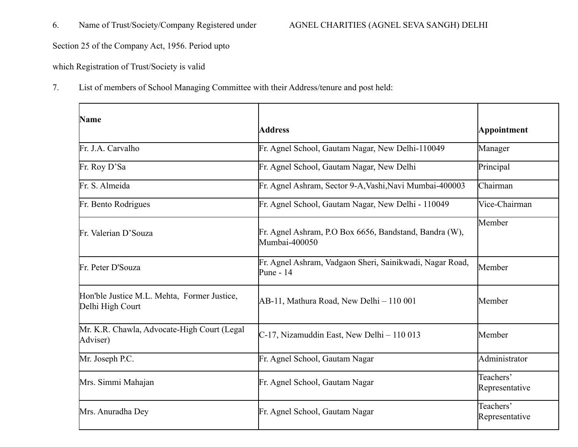## 6. Name of Trust/Society/Company Registered under AGNEL CHARITIES (AGNEL SEVA SANGH) DELHI

Section 25 of the Company Act, 1956. Period upto

which Registration of Trust/Society is valid

7. List of members of School Managing Committee with their Address/tenure and post held:

| <b>Name</b>                                                     | <b>Address</b>                                                          | Appointment                 |
|-----------------------------------------------------------------|-------------------------------------------------------------------------|-----------------------------|
| Fr. J.A. Carvalho                                               | Fr. Agnel School, Gautam Nagar, New Delhi-110049                        | Manager                     |
| Fr. Roy D'Sa                                                    | Fr. Agnel School, Gautam Nagar, New Delhi                               | Principal                   |
| Fr. S. Almeida                                                  | Fr. Agnel Ashram, Sector 9-A, Vashi, Navi Mumbai-400003                 | Chairman                    |
| Fr. Bento Rodrigues                                             | Fr. Agnel School, Gautam Nagar, New Delhi - 110049                      | Vice-Chairman               |
| Fr. Valerian D'Souza                                            | Fr. Agnel Ashram, P.O Box 6656, Bandstand, Bandra (W),<br>Mumbai-400050 | Member                      |
| Fr. Peter D'Souza                                               | Fr. Agnel Ashram, Vadgaon Sheri, Sainikwadi, Nagar Road,<br>Pune - 14   | Member                      |
| Hon'ble Justice M.L. Mehta, Former Justice,<br>Delhi High Court | AB-11, Mathura Road, New Delhi – 110 001                                | Member                      |
| Mr. K.R. Chawla, Advocate-High Court (Legal)<br>Adviser)        | C-17, Nizamuddin East, New Delhi - 110 013                              | Member                      |
| Mr. Joseph P.C.                                                 | Fr. Agnel School, Gautam Nagar                                          | Administrator               |
| Mrs. Simmi Mahajan                                              | Fr. Agnel School, Gautam Nagar                                          | Teachers'<br>Representative |
| Mrs. Anuradha Dey                                               | Fr. Agnel School, Gautam Nagar                                          | Teachers'<br>Representative |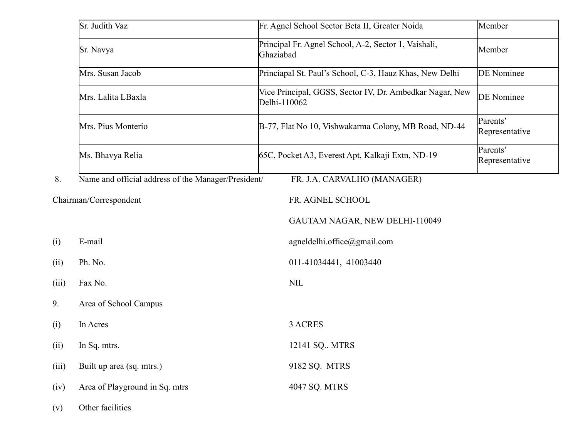|       | Sr. Judith Vaz                                      | Fr. Agnel School Sector Beta II, Greater Noida                           | Member                     |  |  |
|-------|-----------------------------------------------------|--------------------------------------------------------------------------|----------------------------|--|--|
|       | Sr. Navya                                           | Principal Fr. Agnel School, A-2, Sector 1, Vaishali,<br>Ghaziabad        | Member                     |  |  |
|       | Mrs. Susan Jacob                                    | Princiapal St. Paul's School, C-3, Hauz Khas, New Delhi                  | <b>DE</b> Nominee          |  |  |
|       | Mrs. Lalita LBaxla                                  | Vice Principal, GGSS, Sector IV, Dr. Ambedkar Nagar, New<br>Delhi-110062 | <b>DE</b> Nominee          |  |  |
|       | Mrs. Pius Monterio                                  | B-77, Flat No 10, Vishwakarma Colony, MB Road, ND-44                     | Parents'<br>Representative |  |  |
|       | Ms. Bhavya Relia                                    | 65C, Pocket A3, Everest Apt, Kalkaji Extn, ND-19                         | Parents'<br>Representative |  |  |
| 8.    | Name and official address of the Manager/President/ | FR. J.A. CARVALHO (MANAGER)                                              |                            |  |  |
|       | Chairman/Correspondent                              | FR. AGNEL SCHOOL                                                         |                            |  |  |
|       |                                                     | GAUTAM NAGAR, NEW DELHI-110049                                           |                            |  |  |
| (i)   | E-mail                                              | agneldelhi.office@gmail.com                                              |                            |  |  |
| (ii)  | Ph. No.                                             | 011-41034441, 41003440                                                   |                            |  |  |
| (iii) | Fax No.                                             | <b>NIL</b>                                                               |                            |  |  |
|       | Area of School Campus                               |                                                                          |                            |  |  |
| (i)   | In Acres                                            | 3 ACRES                                                                  |                            |  |  |
| (ii)  | In Sq. mtrs.                                        | 12141 SQ MTRS                                                            |                            |  |  |
| (iii) | Built up area (sq. mtrs.)                           | 9182 SQ. MTRS                                                            |                            |  |  |
| (iv)  | Area of Playground in Sq. mtrs                      | 4047 SQ. MTRS                                                            |                            |  |  |
| (v)   | Other facilities                                    |                                                                          |                            |  |  |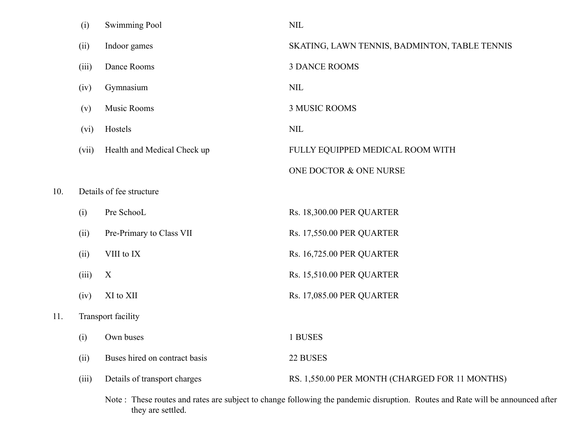|     | (i)   | <b>Swimming Pool</b>          | <b>NIL</b>                                                                                                                    |
|-----|-------|-------------------------------|-------------------------------------------------------------------------------------------------------------------------------|
|     | (ii)  | Indoor games                  | SKATING, LAWN TENNIS, BADMINTON, TABLE TENNIS                                                                                 |
|     | (iii) | Dance Rooms                   | <b>3 DANCE ROOMS</b>                                                                                                          |
|     | (iv)  | Gymnasium                     | <b>NIL</b>                                                                                                                    |
|     | (v)   | Music Rooms                   | <b>3 MUSIC ROOMS</b>                                                                                                          |
|     | (vi)  | Hostels                       | <b>NIL</b>                                                                                                                    |
|     | (vii) | Health and Medical Check up   | FULLY EQUIPPED MEDICAL ROOM WITH                                                                                              |
|     |       |                               | ONE DOCTOR & ONE NURSE                                                                                                        |
| 10. |       | Details of fee structure      |                                                                                                                               |
|     | (i)   | Pre SchooL                    | Rs. 18,300.00 PER QUARTER                                                                                                     |
|     | (ii)  | Pre-Primary to Class VII      | <b>Rs. 17,550.00 PER QUARTER</b>                                                                                              |
|     | (ii)  | VIII to IX                    | <b>Rs. 16,725.00 PER QUARTER</b>                                                                                              |
|     | (iii) | X                             | <b>Rs. 15,510.00 PER QUARTER</b>                                                                                              |
|     | (iv)  | XI to XII                     | <b>Rs. 17,085.00 PER QUARTER</b>                                                                                              |
| 11. |       | <b>Transport facility</b>     |                                                                                                                               |
|     | (i)   | Own buses                     | 1 BUSES                                                                                                                       |
|     | (ii)  | Buses hired on contract basis | 22 BUSES                                                                                                                      |
|     | (iii) | Details of transport charges  | RS. 1,550.00 PER MONTH (CHARGED FOR 11 MONTHS)                                                                                |
|     |       | they are settled.             | Note: These routes and rates are subject to change following the pandemic disruption. Routes and Rate will be announced after |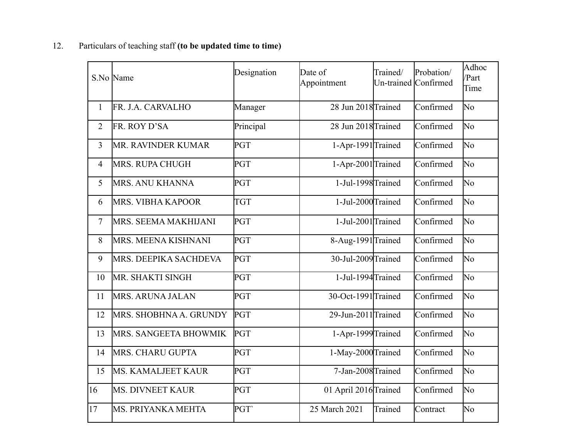|                | S.No Name               | Designation      | Date of<br>Appointment | Trained/ | Probation/<br>Un-trained Confirmed | Adhoc<br>/Part<br>Time |
|----------------|-------------------------|------------------|------------------------|----------|------------------------------------|------------------------|
| $\mathbf{1}$   | FR. J.A. CARVALHO       | Manager          | 28 Jun 2018 Trained    |          | Confirmed                          | No                     |
| $\overline{2}$ | FR. ROY D'SA            | Principal        | 28 Jun 2018 Trained    |          | Confirmed                          | No                     |
| $\overline{3}$ | MR. RAVINDER KUMAR      | PGT              | 1-Apr-1991 Trained     |          | Confirmed                          | No                     |
| $\overline{4}$ | MRS. RUPA CHUGH         | PGT              | 1-Apr-2001 Trained     |          | Confirmed                          | No                     |
| 5              | MRS. ANU KHANNA         | PGT              | 1-Jul-1998 Trained     |          | Confirmed                          | No                     |
| 6              | MRS. VIBHA KAPOOR       | <b>TGT</b>       | 1-Jul-2000 Trained     |          | Confirmed                          | No                     |
| $\overline{7}$ | MRS. SEEMA MAKHIJANI    | PGT              | 1-Jul-2001Trained      |          | Confirmed                          | No                     |
| 8              | MRS. MEENA KISHNANI     | PGT              | 8-Aug-1991 Trained     |          | Confirmed                          | No                     |
| 9              | MRS. DEEPIKA SACHDEVA   | <b>PGT</b>       | 30-Jul-2009 Trained    |          | Confirmed                          | No                     |
| 10             | MR. SHAKTI SINGH        | PGT              | 1-Jul-1994Trained      |          | Confirmed                          | No                     |
| 11             | MRS. ARUNA JALAN        | PGT              | $30$ -Oct-1991 Trained |          | Confirmed                          | No                     |
| 12             | MRS. SHOBHNA A. GRUNDY  | <b>PGT</b>       | 29-Jun-2011Trained     |          | Confirmed                          | No                     |
| 13             | MRS. SANGEETA BHOWMIK   | <b>PGT</b>       | 1-Apr-1999 Trained     |          | Confirmed                          | No                     |
| 14             | MRS. CHARU GUPTA        | PGT              | 1-May-2000 Trained     |          | Confirmed                          | No                     |
| 15             | MS. KAMALJEET KAUR      | PGT              | 7-Jan-2008Trained      |          | Confirmed                          | No                     |
| 16             | <b>MS. DIVNEET KAUR</b> | PGT              | 01 April 2016 Trained  |          | Confirmed                          | No                     |
| 17             | MS. PRIYANKA MEHTA      | PGT <sup>®</sup> | 25 March 2021          | Trained  | Contract                           | No                     |

## 12. Particulars of teaching staff **(to be updated time to time)**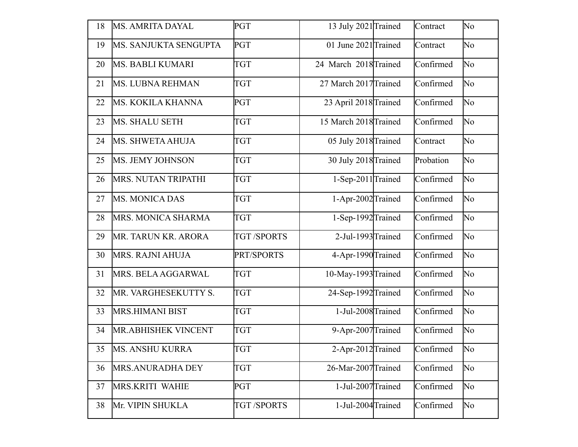| 18 | <b>MS. AMRITA DAYAL</b>  | PGT               | 13 July 2021 Trained  | Contract  | No                     |
|----|--------------------------|-------------------|-----------------------|-----------|------------------------|
| 19 | MS. SANJUKTA SENGUPTA    | PGT               | 01 June 2021 Trained  | Contract  | No                     |
| 20 | <b>MS. BABLI KUMARI</b>  | <b>TGT</b>        | 24 March 2018 Trained | Confirmed | No                     |
| 21 | <b>MS. LUBNA REHMAN</b>  | <b>TGT</b>        | 27 March 2017 Trained | Confirmed | No                     |
| 22 | <b>MS. KOKILA KHANNA</b> | PGT               | 23 April 2018 Trained | Confirmed | $\overline{\text{No}}$ |
| 23 | <b>MS. SHALU SETH</b>    | <b>TGT</b>        | 15 March 2018 Trained | Confirmed | No                     |
| 24 | <b>MS. SHWETA AHUJA</b>  | <b>TGT</b>        | 05 July 2018 Trained  | Contract  | No                     |
| 25 | MS. JEMY JOHNSON         | <b>TGT</b>        | 30 July 2018 Trained  | Probation | No                     |
| 26 | MRS. NUTAN TRIPATHI      | <b>TGT</b>        | 1-Sep-2011 Trained    | Confirmed | No                     |
| 27 | <b>MS. MONICA DAS</b>    | <b>TGT</b>        | 1-Apr-2002 Trained    | Confirmed | No                     |
| 28 | MRS. MONICA SHARMA       | <b>TGT</b>        | 1-Sep-1992 Trained    | Confirmed | No                     |
| 29 | MR. TARUN KR. ARORA      | <b>TGT/SPORTS</b> | 2-Jul-1993 Trained    | Confirmed | No                     |
| 30 | MRS. RAJNI AHUJA         | PRT/SPORTS        | 4-Apr-1990 Trained    | Confirmed | No                     |
| 31 | MRS. BELA AGGARWAL       | <b>TGT</b>        | 10-May-1993 Trained   | Confirmed | No                     |
| 32 | MR. VARGHESEKUTTY S.     | <b>TGT</b>        | 24-Sep-1992 Trained   | Confirmed | No                     |
| 33 | <b>MRS.HIMANI BIST</b>   | <b>TGT</b>        | 1-Jul-2008 Trained    | Confirmed | No                     |
| 34 | MR.ABHISHEK VINCENT      | <b>TGT</b>        | 9-Apr-2007 Trained    | Confirmed | No                     |
| 35 | <b>MS. ANSHU KURRA</b>   | TGT               | 2-Apr-2012 Trained    | Confirmed | No                     |
| 36 | MRS.ANURADHA DEY         | <b>TGT</b>        | 26-Mar-2007 Trained   | Confirmed | No                     |
| 37 | MRS.KRITI WAHIE          | <b>PGT</b>        | 1-Jul-2007 Trained    | Confirmed | No                     |
| 38 | Mr. VIPIN SHUKLA         | <b>TGT/SPORTS</b> | 1-Jul-2004 Trained    | Confirmed | No                     |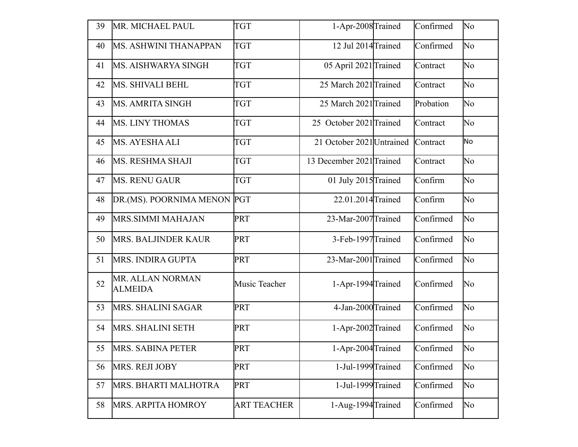| 39 | MR. MICHAEL PAUL                   | <b>TGT</b>         | 1-Apr-2008 Trained        | Confirmed | No                     |
|----|------------------------------------|--------------------|---------------------------|-----------|------------------------|
| 40 | MS. ASHWINI THANAPPAN              | <b>TGT</b>         | 12 Jul 2014 Trained       | Confirmed | No.                    |
| 41 | MS. AISHWARYA SINGH                | <b>TGT</b>         | 05 April 2021 Trained     | Contract  | No                     |
| 42 | MS. SHIVALI BEHL                   | <b>TGT</b>         | 25 March 2021 Trained     | Contract  | No                     |
| 43 | <b>MS. AMRITA SINGH</b>            | <b>TGT</b>         | 25 March 2021 Trained     | Probation | N <sub>o</sub>         |
| 44 | <b>MS. LINY THOMAS</b>             | <b>TGT</b>         | 25 October 2021 Trained   | Contract  | N <sub>o</sub>         |
| 45 | MS. AYESHA ALI                     | <b>TGT</b>         | 21 October 2021 Untrained | Contract  | No.                    |
| 46 | <b>MS. RESHMA SHAJI</b>            | <b>TGT</b>         | 13 December 2021 Trained  | Contract  | No                     |
| 47 | <b>MS. RENU GAUR</b>               | <b>TGT</b>         | 01 July 2015 Trained      | Confirm   | No                     |
| 48 | DR.(MS). POORNIMA MENON PGT        |                    | 22.01.2014 Trained        | Confirm   | No.                    |
| 49 | MRS.SIMMI MAHAJAN                  | <b>PRT</b>         | 23-Mar-2007 Trained       | Confirmed | No                     |
| 50 | <b>MRS. BALJINDER KAUR</b>         | PRT                | 3-Feb-1997 Trained        | Confirmed | No.                    |
| 51 | MRS. INDIRA GUPTA                  | <b>PRT</b>         | 23-Mar-2001 Trained       | Confirmed | No                     |
| 52 | MR. ALLAN NORMAN<br><b>ALMEIDA</b> | Music Teacher      | 1-Apr-1994 Trained        | Confirmed | No                     |
| 53 | MRS. SHALINI SAGAR                 | <b>PRT</b>         | 4-Jan-2000 Trained        | Confirmed | No                     |
| 54 | <b>MRS. SHALINI SETH</b>           | <b>PRT</b>         | 1-Apr-2002 Trained        | Confirmed | No                     |
| 55 | MRS. SABINA PETER                  | <b>PRT</b>         | 1-Apr-2004Trained         | Confirmed | $\overline{\text{No}}$ |
| 56 | MRS. REJI JOBY                     | <b>PRT</b>         | 1-Jul-1999 Trained        | Confirmed | No                     |
| 57 | MRS. BHARTI MALHOTRA               | <b>PRT</b>         | 1-Jul-1999 Trained        | Confirmed | N <sub>o</sub>         |
| 58 | <b>MRS. ARPITA HOMROY</b>          | <b>ART TEACHER</b> | 1-Aug-1994 Trained        | Confirmed | N <sub>o</sub>         |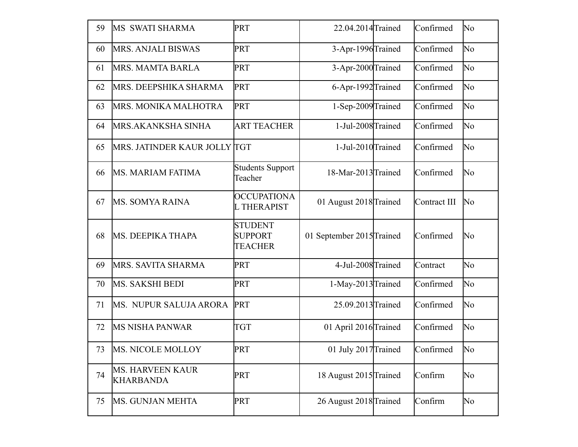| 59 | MS SWATI SHARMA                             | <b>PRT</b>                                         | 22.04.2014 Trained        | Confirmed    | No |
|----|---------------------------------------------|----------------------------------------------------|---------------------------|--------------|----|
| 60 | <b>MRS. ANJALI BISWAS</b>                   | PRT                                                | 3-Apr-1996 Trained        | Confirmed    | No |
| 61 | MRS. MAMTA BARLA                            | PRT                                                | 3-Apr-2000 Trained        | Confirmed    | No |
| 62 | MRS. DEEPSHIKA SHARMA                       | PRT                                                | 6-Apr-1992 Trained        | Confirmed    | No |
| 63 | MRS. MONIKA MALHOTRA                        | PRT                                                | 1-Sep-2009 Trained        | Confirmed    | No |
| 64 | MRS.AKANKSHA SINHA                          | <b>ART TEACHER</b>                                 | 1-Jul-2008 Trained        | Confirmed    | No |
| 65 | MRS. JATINDER KAUR JOLLY TGT                |                                                    | 1-Jul-2010 Trained        | Confirmed    | No |
| 66 | <b>MS. MARIAM FATIMA</b>                    | <b>Students Support</b><br>Teacher                 | 18-Mar-2013 Trained       | Confirmed    | No |
| 67 | MS. SOMYA RAINA                             | <b>OCCUPATIONA</b><br><b>L THERAPIST</b>           | 01 August 2018 Trained    | Contract III | No |
| 68 | MS. DEEPIKA THAPA                           | <b>STUDENT</b><br><b>SUPPORT</b><br><b>TEACHER</b> | 01 September 2015 Trained | Confirmed    | No |
| 69 | MRS. SAVITA SHARMA                          | PRT                                                | 4-Jul-2008 Trained        | Contract     | No |
| 70 | MS. SAKSHI BEDI                             | PRT                                                | 1-May-2013 Trained        | Confirmed    | No |
| 71 | MS. NUPUR SALUJA ARORA                      | <b>PRT</b>                                         | 25.09.2013 Trained        | Confirmed    | No |
| 72 | <b>MS NISHA PANWAR</b>                      | <b>TGT</b>                                         | 01 April 2016 Trained     | Confirmed    | No |
| 73 | MS. NICOLE MOLLOY                           | PRT                                                | 01 July 2017 Trained      | Confirmed    | No |
| 74 | <b>MS. HARVEEN KAUR</b><br><b>KHARBANDA</b> | PRT                                                | 18 August 2015 Trained    | Confirm      | No |
| 75 | MS. GUNJAN MEHTA                            | <b>PRT</b>                                         | 26 August 2018 Trained    | Confirm      | No |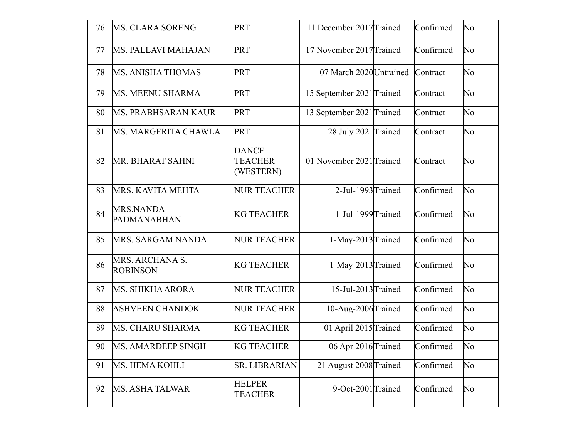| 76 | <b>MS. CLARA SORENG</b>            | <b>PRT</b>                                  | 11 December 2017 Trained  | Confirmed | No  |
|----|------------------------------------|---------------------------------------------|---------------------------|-----------|-----|
| 77 | <b>MS. PALLAVI MAHAJAN</b>         | <b>PRT</b>                                  | 17 November 2017 Trained  | Confirmed | No  |
| 78 | <b>MS. ANISHA THOMAS</b>           | <b>PRT</b>                                  | 07 March 2020 Untrained   | Contract  | No  |
| 79 | MS. MEENU SHARMA                   | <b>PRT</b>                                  | 15 September 2021 Trained | Contract  | No  |
| 80 | MS. PRABHSARAN KAUR                | <b>PRT</b>                                  | 13 September 2021 Trained | Contract  | No  |
| 81 | MS. MARGERITA CHAWLA               | <b>PRT</b>                                  | 28 July 2021 Trained      | Contract  | No  |
| 82 | MR. BHARAT SAHNI                   | <b>DANCE</b><br><b>TEACHER</b><br>(WESTERN) | 01 November 2021 Trained  | Contract  | No  |
| 83 | MRS. KAVITA MEHTA                  | <b>NUR TEACHER</b>                          | 2-Jul-1993 Trained        | Confirmed | No  |
| 84 | <b>MRS.NANDA</b><br>PADMANABHAN    | <b>KG TEACHER</b>                           | 1-Jul-1999 Trained        | Confirmed | No  |
| 85 | MRS. SARGAM NANDA                  | <b>NUR TEACHER</b>                          | 1-May-2013 Trained        | Confirmed | No  |
| 86 | MRS. ARCHANA S.<br><b>ROBINSON</b> | <b>KG TEACHER</b>                           | 1-May-2013 Trained        | Confirmed | No  |
| 87 | <b>MS. SHIKHA ARORA</b>            | <b>NUR TEACHER</b>                          | 15-Jul-2013 Trained       | Confirmed | No  |
| 88 | <b>ASHVEEN CHANDOK</b>             | <b>NUR TEACHER</b>                          | 10-Aug-2006 Trained       | Confirmed | No  |
| 89 | MS. CHARU SHARMA                   | <b>KG TEACHER</b>                           | 01 April 2015 Trained     | Confirmed | No  |
| 90 | MS. AMARDEEP SINGH                 | <b>KG TEACHER</b>                           | 06 Apr 2016 Trained       | Confirmed | No. |
| 91 | MS. HEMA KOHLI                     | <b>SR. LIBRARIAN</b>                        | 21 August 2008 Trained    | Confirmed | No  |
| 92 | <b>MS. ASHA TALWAR</b>             | <b>HELPER</b><br><b>TEACHER</b>             | 9-Oct-2001 Trained        | Confirmed | No  |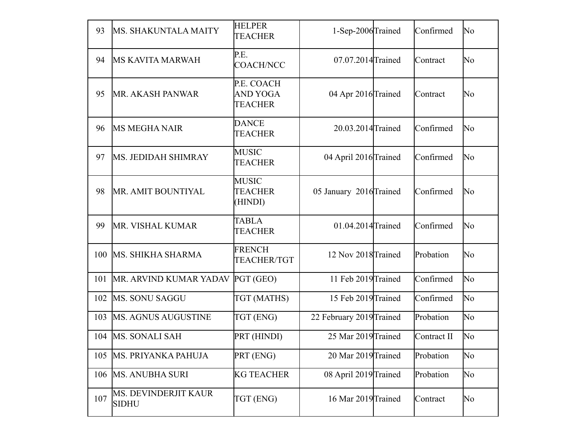| 93  | MS. SHAKUNTALA MAITY                        | <b>HELPER</b><br><b>TEACHER</b>           | 1-Sep-2006 Trained       | Confirmed   | No |
|-----|---------------------------------------------|-------------------------------------------|--------------------------|-------------|----|
| 94  | <b>MS KAVITA MARWAH</b>                     | P.E.<br><b>COACH/NCC</b>                  | 07.07.2014 Trained       | Contract    | No |
| 95  | <b>MR. AKASH PANWAR</b>                     | P.E. COACH<br>AND YOGA<br><b>TEACHER</b>  | 04 Apr 2016 Trained      | Contract    | No |
| 96  | <b>MS MEGHA NAIR</b>                        | <b>DANCE</b><br><b>TEACHER</b>            | 20.03.2014 Trained       | Confirmed   | No |
| 97  | <b>MS. JEDIDAH SHIMRAY</b>                  | <b>MUSIC</b><br><b>TEACHER</b>            | 04 April 2016 Trained    | Confirmed   | No |
| 98  | MR. AMIT BOUNTIYAL                          | <b>MUSIC</b><br><b>TEACHER</b><br>(HINDI) | 05 January 2016 Trained  | Confirmed   | No |
| 99  | MR. VISHAL KUMAR                            | <b>TABLA</b><br><b>TEACHER</b>            | 01.04.2014 Trained       | Confirmed   | No |
| 100 | MS. SHIKHA SHARMA                           | <b>FRENCH</b><br><b>TEACHER/TGT</b>       | 12 Nov 2018 Trained      | Probation   | No |
| 101 | MR. ARVIND KUMAR YADAV                      | PGT (GEO)                                 | 11 Feb 2019 Trained      | Confirmed   | No |
| 102 | <b>MS. SONU SAGGU</b>                       | TGT (MATHS)                               | 15 Feb 2019 Trained      | Confirmed   | No |
| 103 | <b>MS. AGNUS AUGUSTINE</b>                  | TGT (ENG)                                 | 22 February 2019 Trained | Probation   | No |
| 104 | <b>MS. SONALI SAH</b>                       | PRT (HINDI)                               | 25 Mar 2019 Trained      | Contract II | No |
| 105 | MS. PRIYANKA PAHUJA                         | PRT (ENG)                                 | 20 Mar 2019 Trained      | Probation   | No |
| 106 | <b>MS. ANUBHA SURI</b>                      | <b>KG TEACHER</b>                         | 08 April 2019 Trained    | Probation   | No |
| 107 | <b>MS. DEVINDERJIT KAUR</b><br><b>SIDHU</b> | TGT (ENG)                                 | 16 Mar 2019 Trained      | Contract    | No |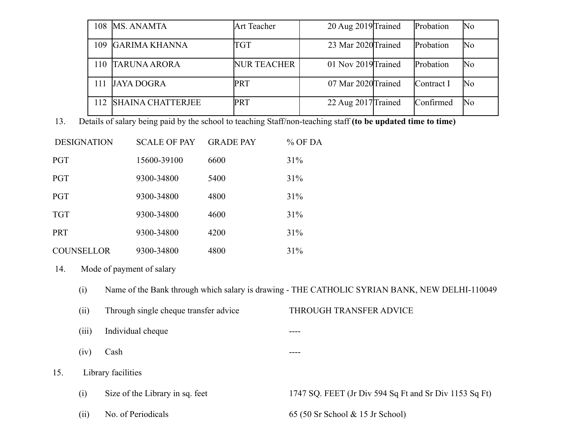| 108             | <b>MS. ANAMTA</b>        | <b>Art Teacher</b> | 20 Aug 2019 Trained | Probation  | No |
|-----------------|--------------------------|--------------------|---------------------|------------|----|
| 109             | <b>GARIMA KHANNA</b>     | TGT                | 23 Mar 2020 Trained | Probation  | No |
| $\overline{10}$ | <b>TARUNA ARORA</b>      | <b>NUR TEACHER</b> | 01 Nov 2019 Trained | Probation  | No |
|                 | JAYA DOGRA               | <b>PRT</b>         | 07 Mar 2020 Trained | Contract I | No |
| 112             | <b>SHAINA CHATTERJEE</b> | PRT                | 22 Aug 2017 Trained | Confirmed  | No |

13. Details of salary being paid by the school to teaching Staff/non-teaching staff **(to be updated time to time)**

| <b>DESIGNATION</b> | <b>SCALE OF PAY</b> | <b>GRADE PAY</b> | $%$ OF DA |
|--------------------|---------------------|------------------|-----------|
| <b>PGT</b>         | 15600-39100         | 6600             | 31%       |
| <b>PGT</b>         | 9300-34800          | 5400             | 31%       |
| <b>PGT</b>         | 9300-34800          | 4800             | 31%       |
| <b>TGT</b>         | 9300-34800          | 4600             | 31%       |
| <b>PRT</b>         | 9300-34800          | 4200             | 31%       |
| <b>COUNSELLOR</b>  | 9300-34800          | 4800             | 31%       |

14. Mode of payment of salary

- (i) Name of the Bank through which salary is drawing THE CATHOLIC SYRIAN BANK, NEW DELHI-110049
- (ii) Through single cheque transfer advice THROUGH TRANSFER ADVICE (iii) Individual cheque ----
- $(iv)$  Cash  $---$

15. Library facilities

- (i) Size of the Library in sq. feet 1747 SQ. FEET (Jr Div 594 Sq Ft and Sr Div 1153 Sq Ft)
- 

(ii) No. of Periodicals 65 (50 Sr School & 15 Jr School)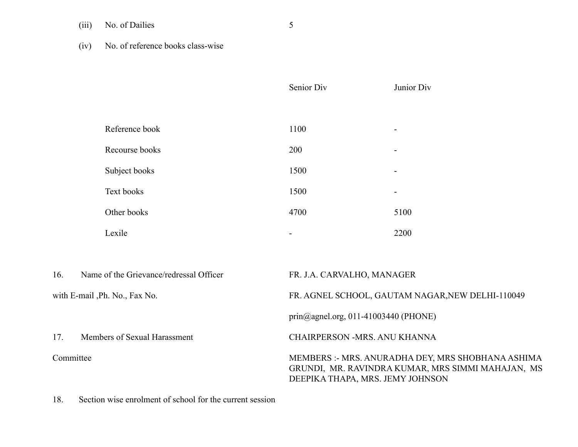(iii) No. of Dailies 5

(iv) No. of reference books class-wise

|                                |                                         | Senior Div                                       | Junior Div                                        |  |  |
|--------------------------------|-----------------------------------------|--------------------------------------------------|---------------------------------------------------|--|--|
|                                |                                         |                                                  |                                                   |  |  |
|                                | Reference book                          | 1100                                             |                                                   |  |  |
|                                | Recourse books                          | 200                                              |                                                   |  |  |
|                                | Subject books                           | 1500                                             |                                                   |  |  |
|                                | Text books                              | 1500                                             |                                                   |  |  |
|                                | Other books                             | 4700                                             | 5100                                              |  |  |
|                                | Lexile                                  |                                                  | 2200                                              |  |  |
|                                |                                         |                                                  |                                                   |  |  |
| 16.                            | Name of the Grievance/redressal Officer |                                                  | FR. J.A. CARVALHO, MANAGER                        |  |  |
| with E-mail , Ph. No., Fax No. |                                         | FR. AGNEL SCHOOL, GAUTAM NAGAR, NEW DELHI-110049 |                                                   |  |  |
|                                |                                         |                                                  | prin@agnel.org, 011-41003440 (PHONE)              |  |  |
| 17.                            | Members of Sexual Harassment            |                                                  | CHAIRPERSON -MRS. ANU KHANNA                      |  |  |
| Committee                      |                                         |                                                  | MEMBERS :- MRS. ANURADHA DEY, MRS SHOBHANA ASHIMA |  |  |

GRUNDI, MR. RAVINDRA KUMAR, MRS SIMMI MAHAJAN, MS

DEEPIKA THAPA, MRS. JEMY JOHNSON

18. Section wise enrolment of school for the current session